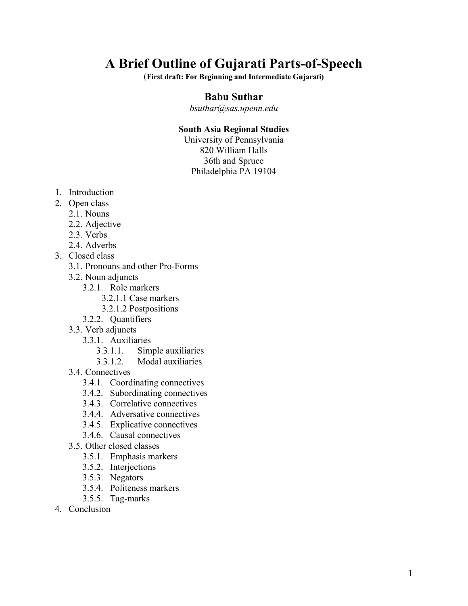# **A Brief Outline of Gujarati Parts-of-Speech**

(**First draft: For Beginning and Intermediate Gujarati)** 

## **Babu Suthar**

*bsuthar@sas.upenn.edu* 

#### **South Asia Regional Studies**

University of Pennsylvania 820 William Halls 36th and Spruce Philadelphia PA 19104

- 1. Introduction
- 2. Open class
	- 2.1. Nouns
		- 2.2. Adjective
		- 2.3. Verbs
		- 2.4. Adverbs
- 3. Closed class
	- 3.1. Pronouns and other Pro-Forms
	- 3.2. Noun adjuncts
		- 3.2.1. Role markers
			- 3.2.1.1 Case markers
			- 3.2.1.2 Postpositions
		- 3.2.2. Quantifiers
	- 3.3. Verb adjuncts
		- 3.3.1. Auxiliaries
			- 3.3.1.1. Simple auxiliaries
			- 3.3.1.2. Modal auxiliaries
	- 3.4 Connectives
		- 3.4.1. Coordinating connectives
		- 3.4.2. Subordinating connectives
		- 3.4.3. Correlative connectives
		- 3.4.4. Adversative connectives
		- 3.4.5. Explicative connectives
		- 3.4.6. Causal connectives
	- 3.5. Other closed classes
		- 3.5.1. Emphasis markers
		- 3.5.2. Interjections
		- 3.5.3. Negators
		- 3.5.4. Politeness markers
		- 3.5.5. Tag-marks
- 4. Conclusion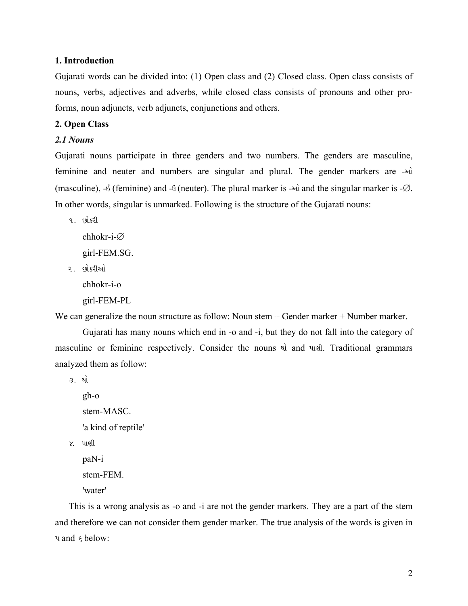#### **1. Introduction**

Gujarati words can be divided into: (1) Open class and (2) Closed class. Open class consists of nouns, verbs, adjectives and adverbs, while closed class consists of pronouns and other proforms, noun adjuncts, verb adjuncts, conjunctions and others.

#### **2. Open Class**

### *2.1 Nouns*

Gujarati nouns participate in three genders and two numbers. The genders are masculine, feminine and neuter and numbers are singular and plural. The gender markers are -(masculine), - $\delta$  (feminine) and - $\delta$  (neuter). The plural marker is - $\delta$  and the singular marker is - $\varnothing$ . In other words, singular is unmarked. Following is the structure of the Gujarati nouns:

૧. છોકરી

chhokr-i-∅

girl-FEM.SG.

૨. છોકરીઓ

chhokr-i-o

girl-FEM-PL

We can generalize the noun structure as follow: Noun stem + Gender marker + Number marker.

Gujarati has many nouns which end in -o and -i, but they do not fall into the category of masculine or feminine respectively. Consider the nouns  $\mathbf{a}$  and  $\mathbf{u}$  and Traditional grammars analyzed them as follow:

૩. ઘો

gh-o stem-MASC. 'a kind of reptile' ૪. પાણી

paN-i

stem-FEM.

```
'water'
```
This is a wrong analysis as -o and -i are not the gender markers. They are a part of the stem and therefore we can not consider them gender marker. The true analysis of the words is given in  $\nu$  and  $\epsilon$  below: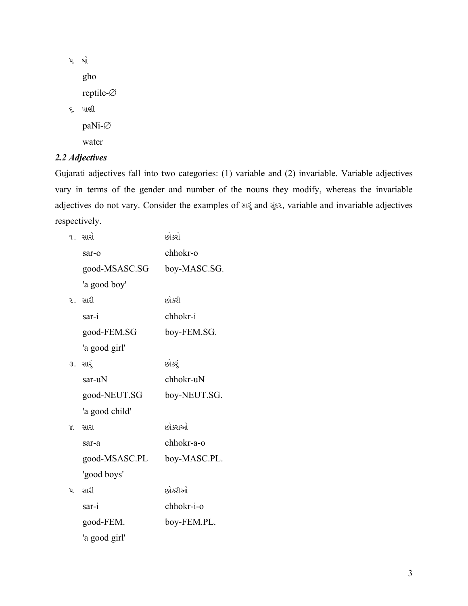પ. ઘો gho reptile-Ø ૬. પાણી paNi-Ø water

## 2.2 Adjectives

Gujarati adjectives fall into two categories: (1) variable and (2) invariable. Variable adjectives vary in terms of the gender and number of the nouns they modify, whereas the invariable adjectives do not vary. Consider the examples of and alise, variable and invariable adjectives respectively.

|        | ૧. સારો        | છોકરો        |
|--------|----------------|--------------|
|        | sar-o          | chhokr-o     |
|        | good-MSASC.SG  | boy-MASC.SG. |
|        | 'a good boy'   |              |
|        | ર. સારી        | છોકરી        |
|        | sar-i          | chhokr-i     |
|        | good-FEM.SG    | boy-FEM.SG.  |
|        | 'a good girl'  |              |
|        | ૩. સાર્        | છોકર્        |
|        | sar-uN         | chhokr-uN    |
|        | good-NEUT.SG   | boy-NEUT.SG. |
|        | 'a good child' |              |
| $\chi$ | સારા           | છોકરાઓ       |
|        | sar-a          | chhokr-a-o   |
|        | good-MSASC.PL  | boy-MASC.PL. |
|        | 'good boys'    |              |
| પ.     | સારી           | છોકરીઓ       |
|        | sar-i          | chhokr-i-o   |
|        | good-FEM.      | boy-FEM.PL.  |
|        | 'a good girl'  |              |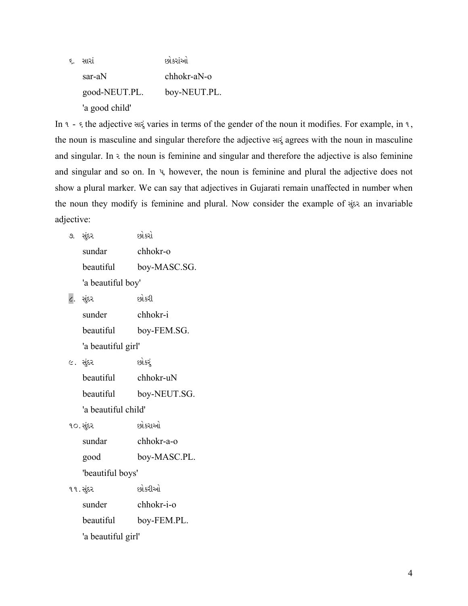૬. સારાં સાર છોકરાંઓ sar-aN chhokr-aN-o good-NEUT.PL. boy-NEUT.PL. 'a good child'

In  $\alpha$  -  $\epsilon$  the adjective and varies in terms of the gender of the noun it modifies. For example, in  $\alpha$ , the noun is masculine and singular therefore the adjective and agrees with the noun in masculine and singular. In  $\epsilon$  the noun is feminine and singular and therefore the adjective is also feminine and singular and so on. In  $\psi$ , however, the noun is feminine and plural the adjective does not show a plural marker. We can say that adjectives in Gujarati remain unaffected in number when the noun they modify is feminine and plural. Now consider the example of sites an invariable adjective:

| ୬. | સંદર              | છોકરો        |
|----|-------------------|--------------|
|    | sundar            | chhokr-o     |
|    | beautiful         | boy-MASC.SG. |
|    | 'a beautiful boy' |              |
|    |                   | દર્ભ હરી     |

| ડ પડ               | 671.DJ.     |  |
|--------------------|-------------|--|
| sunder             | chhokr-i    |  |
| beautiful          | boy-FEM.SG. |  |
| 'a beautiful girl' |             |  |

૯. સુંદર છોકરું

| heautiful           | chhokr-uN    |
|---------------------|--------------|
| beautiful           | boy-NEUT.SG. |
| 'a beautiful child' |              |

| ૧૦. સુંદર        | <u>છો.કરાઓ</u> |
|------------------|----------------|
| sundar           | chhokr-a-o     |
| good             | boy-MASC.PL.   |
| 'beautiful boys' |                |
| ૧૧. સુંદર        | છોકરીઓ         |

| sunder             | chhokr-i-o  |
|--------------------|-------------|
| beautiful          | boy-FEM.PL. |
| 'a beautiful girl' |             |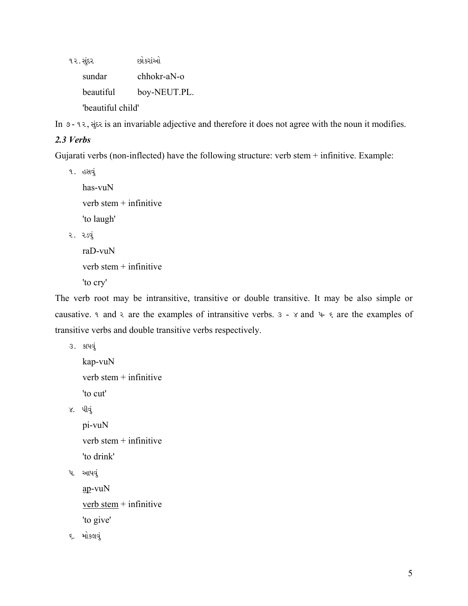૧૨. સુંદર છોકરાંઓ sundar chhokr-aN-o beautiful boy-NEUT.PL. 'beautiful child'

In  $\sigma$  - ૧૨, સૂંદર is an invariable adjective and therefore it does not agree with the noun it modifies.

## *2.3 Verbs*

Gujarati verbs (non-inflected) have the following structure: verb stem + infinitive. Example:

૧. હસવું

```
has-vuN 
    verb stem + infinitive 
   'to laugh' 
૨. ૨ડવું
   raD-vuN
```
verb stem + infinitive

'to cry'

The verb root may be intransitive, transitive or double transitive. It may be also simple or causative. A and  $\epsilon$  are the examples of intransitive verbs.  $\epsilon$  -  $\epsilon$  and  $\epsilon$   $\epsilon$  are the examples of transitive verbs and double transitive verbs respectively.

```
૩. કાપવું
    kap-vuN 
    verb stem + infinitive 
   'to cut' 
૪. પીવું
   pi-vuN 
    verb stem + infinitive 
    'to drink' 
પ. આપવું
    ap-vuN
```
verb stem  $+$  infinitive 'to give'

૬. મોકલવું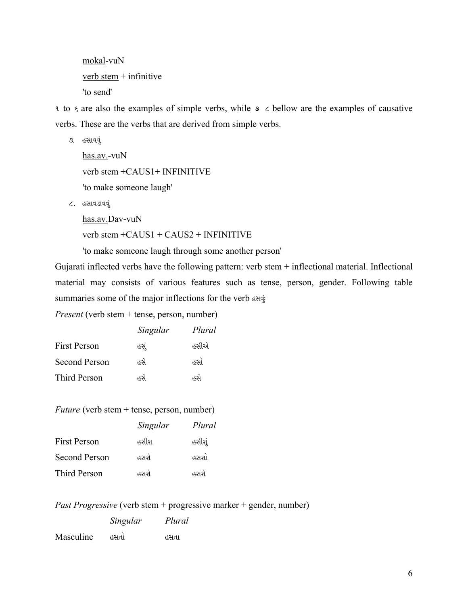mokal-vuN verb stem + infinitive 'to send'

 $\alpha$  to  $\epsilon$  are also the examples of simple verbs, while  $\epsilon \geq \epsilon$  bellow are the examples of causative verbs. These are the verbs that are derived from simple verbs.

૭. હસાવવું

has.av.-vuN verb stem +CAUS1+ INFINITIVE 'to make someone laugh'

૮. હસાવડાવવું

has.av.Dav-vuN

verb stem  $+CAUS1 + CAUS2 + INFINITE1$ 

'to make someone laugh through some another person'

Gujarati inflected verbs have the following pattern: verb stem + inflectional material. Inflectional material may consists of various features such as tense, person, gender. Following table summaries some of the major inflections for the verb designation

*Present* (verb stem + tense, person, number)

|               | Singular | Plural |
|---------------|----------|--------|
| First Person  | હસં      | હસીએ   |
| Second Person | હસે      | હસો    |
| Third Person  | હસે      | હર્સ   |

*Future* (verb stem + tense, person, number)

|                      | Singular | Plural |
|----------------------|----------|--------|
| <b>First Person</b>  | હસીશ     | હસીશું |
| <b>Second Person</b> | હસશે.    | હસશો   |
| Third Person         | હસશે.    | હસશે.  |

*Past Progressive* (verb stem + progressive marker + gender, number)

 *Singular Plural*  Masculine હસતો હસતા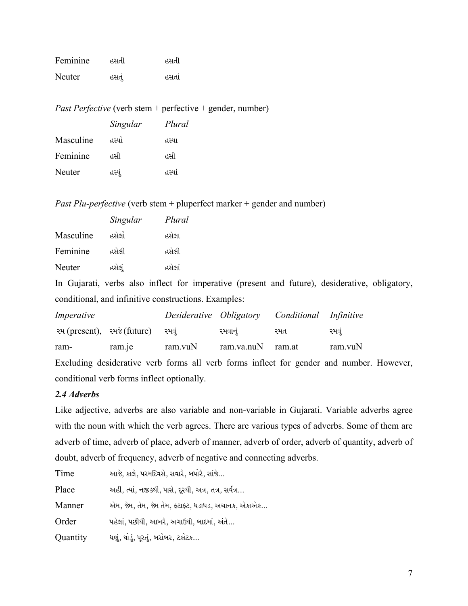| Feminine | હસતી  | હસતી  |
|----------|-------|-------|
| Neuter   | હસતું | હસતાં |

*Past Perfective* (verb stem + perfective + gender, number)

|           | Singular | Plural |
|-----------|----------|--------|
| Masculine | હસ્યાં   | हरथा.  |
| Feminine  | હસી      | હસી    |
| Neuter    | હસ્યૂં   | हरथां  |

*Past Plu-perfective* (verb stem + pluperfect marker + gender and number)

|           | Singular | Plural |
|-----------|----------|--------|
| Masculine | હસેલો    | હસેલા  |
| Feminine  | હસેલી    | હસેલી  |
| Neuter    | હસેલું   | હસેલાં |

conditional verb forms inflect optionally.

In Gujarati, verbs also inflect for imperative (present and future), desiderative, obligatory, conditional, and infinitive constructions. Examples:

| Imperative |                             |         | Desiderative Obligatory Conditional Infinitive |     |                                                                                          |
|------------|-----------------------------|---------|------------------------------------------------|-----|------------------------------------------------------------------------------------------|
|            | રમ (present), રમજે (future) | રમવં    | રમવાનું                                        | રમત | રમવ                                                                                      |
| ram-       | ram.je                      | ram.vuN | ram.va.nuN ram.at                              |     | ram.vuN                                                                                  |
|            |                             |         |                                                |     | Excluding desiderative verb forms all verb forms inflect for gender and number. However, |

*2.4 Adverbs* 

Like adjective, adverbs are also variable and non-variable in Gujarati. Variable adverbs agree with the noun with which the verb agrees. There are various types of adverbs. Some of them are adverb of time, adverb of place, adverb of manner, adverb of order, adverb of quantity, adverb of doubt, adverb of frequency, adverb of negative and connecting adverbs.

| Time     | આજે, કાલે, પરમદિવસે, સવારે, બપોરે, સાંજે              |
|----------|-------------------------------------------------------|
| Place    | અહીં, ત્યાં, નજીકથી, પાસે, દૂરથી, અત્ર, તત્ર, સર્વત્ર |
| Manner   | એમ. જેમ, તેમ, જેમ તેમ, ફટાફ્ટ, ધડાધડ, અચાનક, એકાએક    |
| Order    | પહેલાં, પછીથી, આખરે, અગાઉથી, બાદમાં, અંતે             |
| Quantity | ધણું, થોડું, પૂરતું, બરોબર, ટકોટક                     |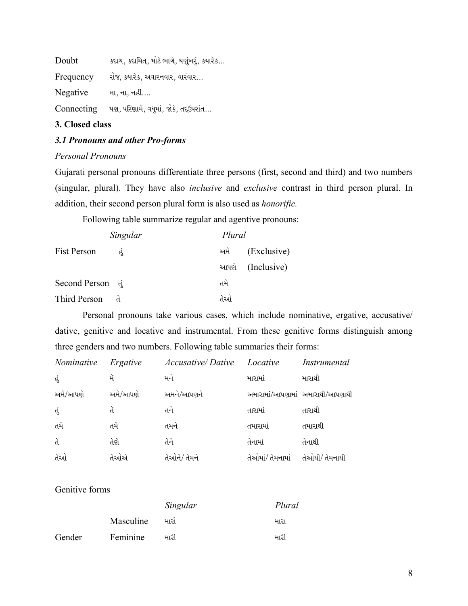| Doubt      | કદાચ, કદાચિત, મોટે ભાગે, ઘણુંખરૂં, કયારેક |
|------------|-------------------------------------------|
| Frequency  | રોજ, કયારેક, અવારનવાર, વારંવાર            |
| Negative   | મા, ના, નહીં                              |
| Connecting | પણ, પરિણામે, વધુમાં, જોકે, તદ્ઉપરાંત      |

#### **3. Closed class**

## *3.1 Pronouns and other Pro-forms*

#### *Personal Pronouns*

Gujarati personal pronouns differentiate three persons (first, second and third) and two numbers (singular, plural). They have also *inclusive* and *exclusive* contrast in third person plural. In addition, their second person plural form is also used as *honorific.* 

Following table summarize regular and agentive pronouns:

|                 | Singular | Plural |                  |
|-----------------|----------|--------|------------------|
| Fist Person     |          | અમે    | (Exclusive)      |
|                 |          |        | આપણે (Inclusive) |
| Second Person d |          | તમે    |                  |
| Third Person    |          | તેઓ    |                  |

Personal pronouns take various cases, which include nominative, ergative, accusative/ dative, genitive and locative and instrumental. From these genitive forms distinguish among three genders and two numbers. Following table summaries their forms:

| <i>Nominative</i> | Ergative | <b>Accusative</b> /Dative | Locative         | Instrumental                    |
|-------------------|----------|---------------------------|------------------|---------------------------------|
| હું               | મેં      | મને                       | મારામાં          | મારાથી                          |
| અમે/આપણે          | અમે/આપણે | અમને/આપણને                |                  | અમારામાં/આપણામાં અમારાથી/આપણાથી |
| તું               | ď.       | તને                       | તારામાં          | તારાથી                          |
| તમે               | તમે      | તમને                      | તમારામાં         | તમારાથી                         |
| $\mathcal{A}$     | તેણે     | તેને                      | તેનામાં          | તેનાથી                          |
| તેઓ               | તેઓએ     | તેઓને/ તેમને              | તેઓમાં/ તેમનામાં | તેઓથી/ તેમનાથી                  |

Genitive forms

|        |           | Singular | Plural |
|--------|-----------|----------|--------|
|        | Masculine | મારાં    | મારા   |
| Gender | Feminine  | મારી     | મારી   |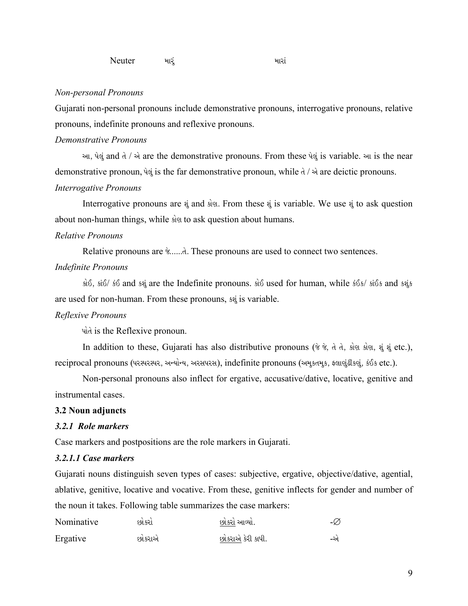#### *Non-personal Pronouns*

Gujarati non-personal pronouns include demonstrative pronouns, interrogative pronouns, relative pronouns, indefinite pronouns and reflexive pronouns.

### *Demonstrative Pronouns*

 $\mathcal{A}$ ,  $\mathcal{A}$  and  $\mathcal{A}$  /  $\mathcal{A}$  are the demonstrative pronouns. From these  $\mathcal{A}$  is variable.  $\mathcal{A}$  is the near demonstrative pronoun,  $\dot{q}$  is the far demonstrative pronoun, while  $\dot{d}$  /  $\dot{\theta}$  are deictic pronouns. *Interrogative Pronouns* 

Interrogative pronouns are  $\ddot{\mathbf{v}}$  and sign. From these  $\ddot{\mathbf{v}}$  is variable. We use  $\ddot{\mathbf{v}}$  to ask question about non-human things, while sign to ask question about humans.

#### *Relative Pronouns*

Relative pronouns are  $\&$ ......d. These pronouns are used to connect two sentences.

#### *Indefinite Pronouns*

kes, sis/ so and sei are the Indefinite pronouns. sus used for human, while εδε/ sis& and seis are used for non-human. From these pronouns, sai is variable.

#### *Reflexive Pronouns*

uld is the Reflexive pronoun.

In addition to these, Gujarati has also distributive pronouns ( $\hat{\sigma}$   $\hat{\sigma}$ ,  $\hat{\sigma}$ ,  $\hat{\sigma}$ ,  $\hat{\sigma}$ ,  $\hat{\sigma}$ ),  $\hat{\sigma}$ ,  $\hat{\sigma}$  and  $\hat{\sigma}$ ), reciprocal pronouns (પરસ્પરસ્પર, અન્યોન્ય, અરસપરસ), indefinite pronouns (અમુકતમૂક, ફ્લાણુંઢીકણું, કંઈક etc.).

 Non-personal pronouns also inflect for ergative, accusative/dative, locative, genitive and instrumental cases.

#### **3.2 Noun adjuncts**

#### *3.2.1 Role markers*

Case markers and postpositions are the role markers in Gujarati.

#### *3.2.1.1 Case markers*

Gujarati nouns distinguish seven types of cases: subjective, ergative, objective/dative, agential, ablative, genitive, locative and vocative. From these, genitive inflects for gender and number of the noun it takes. Following table summarizes the case markers:

| Nominative | દશંકરાં | છાંકરાં આવ્યાં.   | -Ø |
|------------|---------|-------------------|----|
| Ergative   | છોકરાએ  | છોકરાએ કેરી કાપી. | -એ |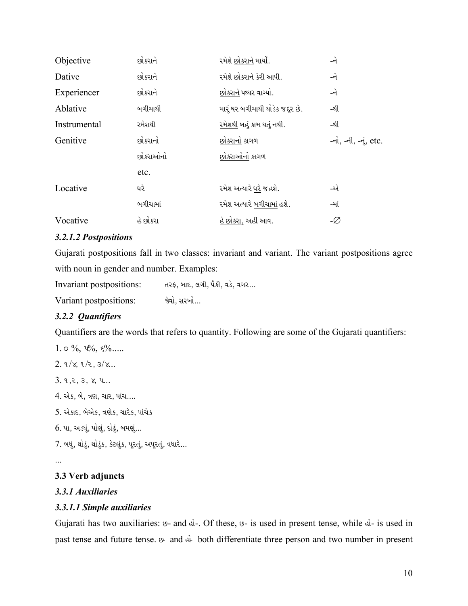| Objective    | છોકરાને  | રમેશે છોકરાને માર્યો.           | -ને                                         |
|--------------|----------|---------------------------------|---------------------------------------------|
| Dative       | છોકરાને  | રમેશે છોકરાને કેરી આપી.         | -ને                                         |
| Experiencer  | છોકરાને  | છોકરાને પથ્થર વાગ્યો.           | -ને                                         |
| Ablative     | બગીચાથી  | મારું ઘર બગીચાથી થોડેક જદૂર છે. | -થી                                         |
| Instrumental | રમેશથી   | રમેશથી બહું કામ થતું નથી.       | -થી                                         |
| Genitive     | છોકરાનો  | છોકરાનો કાગળ                    | $-\dot{u}$ , $-\dot{u}$ , $-\dot{u}$ , etc. |
|              | છોકરાઓનો | છોકરાઓનો કાગળ                   |                                             |
|              | etc.     |                                 |                                             |
| Locative     | ઘરે      | રમેશ અત્યારે ઘરે જ હશે.         | -એ                                          |
|              | બગીચામાં | રમેશ અત્યારે બગીચામાં હશે.      | -માં                                        |
| Vocative     | હે છોકરા | હે છોકરા, અહીં આવ.              | -Ø                                          |

## 3.2.1.2 Postpositions

Gujarati postpositions fall in two classes: invariant and variant. The variant postpositions agree with noun in gender and number. Examples:

Invariant postpositions: તરફ, બાદ, લગી, પૈકી, વડે, વગર... Variant postpositions: જેવો, સરખો...

## 3.2.2 Quantifiers

Quantifiers are the words that refers to quantity. Following are some of the Gujarati quantifiers:

1.  $\circ$  %,  $\psi_0$ ,  $\psi_0$ ,  $\psi_1$ 

 $2.9/x, 9/z, 3/x...$ 

 $3.9, 2, 3, 8, 4...$ 

4. એક, બે, ત્રણ, ચાર, પાંચ....

5. એકાદ, બેએક, ત્રણેક, ચારેક, પાંચેક

 $6.$  પા, અડધું, પોણું, દોઢું, બમણું...

7. બધું, થોડું, થોડુંક, કેટલુંક, પૂરતું, અપૂરતું, વધારે...

 $\ddotsc$ 

## 3.3 Verb adjuncts

#### 3.3.1 Auxiliaries

## 3.3.1.1 Simple auxiliaries

Gujarati has two auxiliaries: 9- and el-. Of these, 9- is used in present tense, while el- is used in past tense and future tense.  $\theta$  and  $\dot{\theta}$  both differentiate three person and two number in present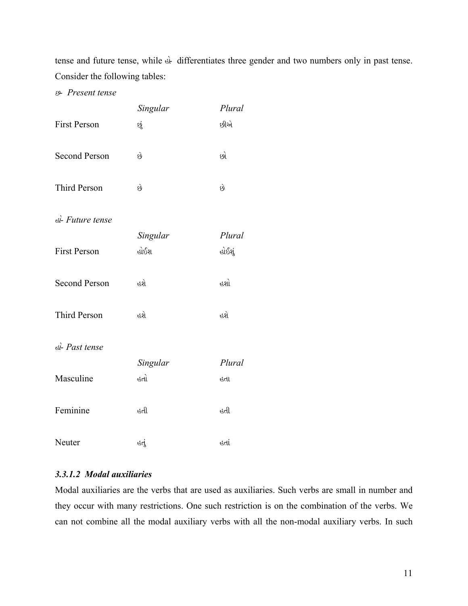tense and future tense, while  $\&$  differentiates three gender and two numbers only in past tense. Consider the following tables:

2Ý *Present tense* 

|                      | Singular | Plural |
|----------------------|----------|--------|
| <b>First Person</b>  | છું      | છીએ    |
| <b>Second Person</b> | છે       | છો     |
| <b>Third Person</b>  | છે       | છે     |
| sì-Future tense      |          |        |
|                      | Singular | Plural |
| <b>First Person</b>  | હોઈશ     | હોઈશું |
| <b>Second Person</b> | હશે      | હશો    |
| <b>Third Person</b>  | હશે      | હશે    |
| el-Past tense        |          |        |
|                      | Singular | Plural |
| Masculine            | હતો      | હતા    |
| Feminine             | હતી      | હતી    |
| Neuter               | હતૂં     | હતાં   |

## *3.3.1.2 Modal auxiliaries*

Modal auxiliaries are the verbs that are used as auxiliaries. Such verbs are small in number and they occur with many restrictions. One such restriction is on the combination of the verbs. We can not combine all the modal auxiliary verbs with all the non-modal auxiliary verbs. In such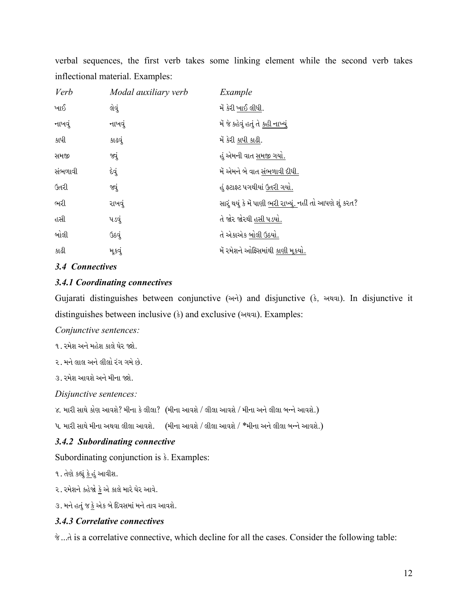verbal sequences, the first verb takes some linking element while the second verb takes inflectional material. Examples:

| Modal auxiliary verb | Example                                                          |
|----------------------|------------------------------------------------------------------|
| લેવું                | મેં કેરી ખાઈ લીધી.                                               |
| નાખવું               | મેં જે કહેવું હતું તે <u>કહી નાખ્યું</u>                         |
| કાઢવું               | મેં કેરી કાપી કાઢી.                                              |
| જ્યું                | હું એમની વાત સમજી ગયો.                                           |
| દેવું                | મેં એમને બે વાત સંભળાવી દીધી.                                    |
| જ્યું                | હું ફટાફટ પગથીયાં ઉતરી ગયો.                                      |
| રાખવું               | સારું થયું કે મેં પાણી <u>ભરી રાખ્યું.</u> નહીં તો આપણે શું કરત? |
| પડવું                | તે જોર જોરથી હસી પડયો.                                           |
| ઉઠવું                | તે એકાએક બોલી ઉઠયો.                                              |
| મૂકવું               | મેં રમેશને ઓફિસમાંથી કાણી મૂકયો.                                 |
|                      |                                                                  |

## *3.4 Connectives*

## *3.4.1 Coordinating connectives*

Gujarati distinguishes between conjunctive  $(\forall x)$  and disjunctive  $(\xi, \forall y)$ . In disjunctive it distinguishes between inclusive  $(\S)$  and exclusive ( $\S$ ). Examples:

*Conjunctive sentences:* 

- ૧. રમેશ અને મહેશ કાલે ઘેર જશે.
- ૨. મને લાલ અને લીલો રંગ ગમે છે.
- ૩. રમેશ આવશે અને મીના જશે.

*Disjunctive sentences:* 

૪. મારી સાથે કોણ આવશે? મીના કે લીલા? (મીના આવશે / લીલા આવશે / મીના અને લીલા બન્ને આવશે.)

૫. મારી સાથે મીના અથવા લીલા આવશે. (મીના આવશે / લીલા આવશે / \*મીના અને લીલા બન્ને આવશે.)

## *3.4.2 Subordinating connective*

Subordinating conjunction is  $\frac{3}{5}$ . Examples:

૧. તેણે કહ્યું કે હું આવીશ.

૨. રમેશને કહેજો <u>કે</u> એ કાલે મારે ઘેર આવે.

૩. મને હતું જ <u>કે</u> એક બે દિવસમાં મને તાવ આવશે.

## *3.4.3 Correlative connectives*

 $\dot{\mathcal{C}}$ ...d is a correlative connective, which decline for all the cases. Consider the following table: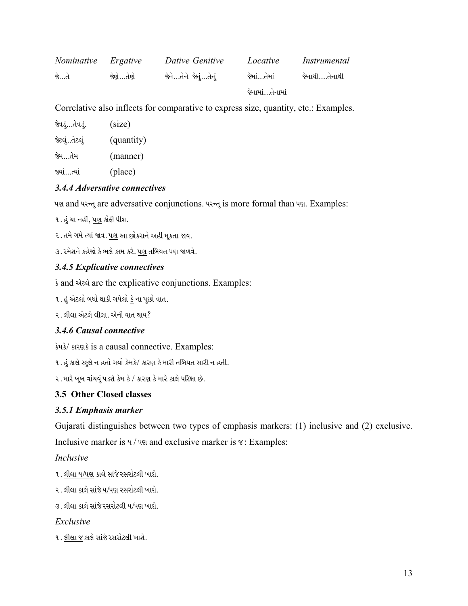| Nominative Ergative |           | Dative Genitive     | Locative        | Instrumental   |
|---------------------|-----------|---------------------|-----------------|----------------|
| જે…તે               | જેશે…તેશે | જેનેતેને જેનુંતેનું | જેમાં…તેમાં     | જેનાથી….તેનાથી |
|                     |           |                     | જેનામાં…તેનામાં |                |

Correlative also inflects for comparative to express size, quantity, etc.: Examples.

| જેવડું…તેવડું. | (size)     |
|----------------|------------|
| જેટલુંતેટલું   | (quantity) |
| જેમ…તેમ        | (manner)   |
| જ્યાં…ત્યાં    | (place)    |

## 3.4.4 Adversative connectives

पश and परन्तु are adversative conjunctions. परन्तु is more formal than पश. Examples:

૧. હું ચા નહીં, પણ કોફી પીશ.

૨. તમે ગમે ત્યાં જાવ. પણ આ છોકરાને અહીં મૂકતા જાવ.

૩. રમેશને કહેજો કે ભલે કામ કરે. <u>પણ</u> તબિયત પણ જાળવે.

## 3.4.5 Explicative connectives

s and wheel are the explicative conjunctions. Examples:

૧. હું એટલો બધો થાકી ગયેલો <u>કે</u> ના પુછો વાત.

૨. લીલા એટલે લીલા. એની વાત થાય?

## 3.4.6 Causal connective

डेमडे/ डारशर्ड is a causal connective. Examples:

૧. હું કાલે સ્કુલે ન હતો ગયો કેમકે/ કારણ કે મારી તબિયત સારી ન હતી.

૨. મારે ખૂબ વાંચવું પડશે કેમ કે / કારણ કે મારે કાલે પરિક્ષા છે.

## 3.5 Other Closed classes

## 3.5.1 Emphasis marker

Gujarati distinguishes between two types of emphasis markers: (1) inclusive and (2) exclusive. Inclusive marker is  $y / y$  and exclusive marker is  $\gamma$ : Examples:

## Inclusive

- ૧. લીલા ય/પણ કાલે સાંજે રસરોટલી ખાશે.
- ૨. લીલા કાલે સાંજે ય/પણ રસરોટલી ખાશે.
- ૩. લીલા કાલે સાંજે રસરોટલી ય/પણ ખાશે.

## Exclusive

૧. લીલા જ કાલે સાંજે રસરોટલી ખાશે.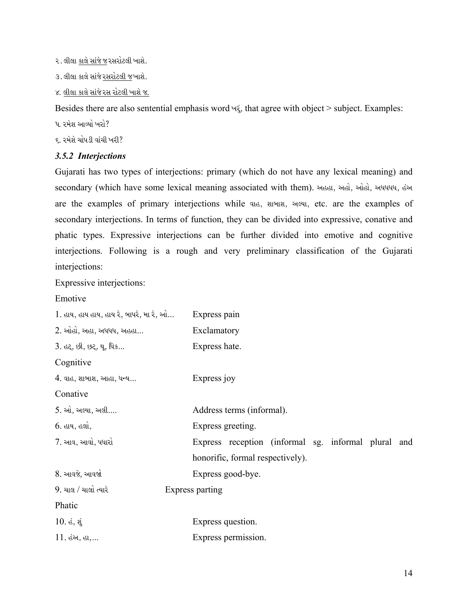- ૨. લીલા કાલે સાંજે જ રસરોટલી ખાશે.
- ૩. લીલા કાલે સાંજે રસરોટલી જખાશે.
- ૪. લીલા કાલે સાંજે રસ રોટલી ખાશે જ.

Besides there are also sentential emphasis word  $\forall x$ , that agree with object > subject. Examples:

- ૫. રમેશ આવ્યો ખરો?
- ૬. રમેશે ચોપડી વાંચી ખરી?

#### *3.5.2 Interjections*

Gujarati has two types of interjections: primary (which do not have any lexical meaning) and secondary (which have some lexical meaning associated with them). અહહા, અહો, ઓહો, અધધધધ, હંઅ are the examples of primary interjections while que, and ally seed, etc. are the examples of secondary interjections. In terms of function, they can be divided into expressive, conative and phatic types. Expressive interjections can be further divided into emotive and cognitive interjections. Following is a rough and very preliminary classification of the Gujarati interjections:

Expressive interjections:

#### Emotive

| ી. હાય, હાય હાય, હાય રે, બાપરે, મા રે, ઓ | Express pain                                        |
|------------------------------------------|-----------------------------------------------------|
| $2.$ ઓહો, અહા, અધધધ, અહહા                | Exclamatory                                         |
| 3. હટ્, છી, છટ્, થૂ, ધિક                 | Express hate.                                       |
| Cognitive                                |                                                     |
| $4.$ વાહ, શાબાશ, આહા, ધન્ય $\ldots$      | Express joy                                         |
| Conative                                 |                                                     |
| 5. ઓ, અલ્યા, અલી                         | Address terms (informal).                           |
| 6. હાય, હલો,                             | Express greeting.                                   |
| 7. આવ, આવો, પધારો                        | Express reception (informal sg. informal plural and |
|                                          | honorific, formal respectively).                    |
| 8. આવજે, આવજો                            | Express good-bye.                                   |
| $9.$ ચાલ / ચાલો ત્યારે                   | Express parting                                     |
| Phatic                                   |                                                     |
| $10.$ હં, શું                            | Express question.                                   |
| $11.$ હંઅ, હા,                           | Express permission.                                 |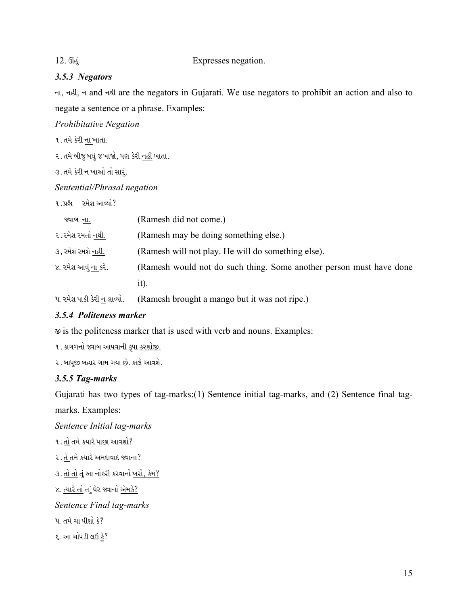#### 12. Club Expresses negation.

## *3.5.3 Negators*

ના, નહી, ન and નથી are the negators in Gujarati. We use negators to prohibit an action and also to negate a sentence or a phrase. Examples:

*Prohibitative Negation* 

૧. તમે કેરી ના ખાતા.

૨. તમે બીજુ બધું જ ખાજો, પણ કેરી <u>નહીં</u> ખાતા.

૩. તમે કેરી ન ખાઓ તો સાર.

*Sentential/Phrasal negation* 

૧. પ્રશ્ન રમેશ આવ્યો?

| જ્યાબ ના.            | (Ramesh did not come.)                                              |
|----------------------|---------------------------------------------------------------------|
| ૨. રમેશ રમતો નથી.    | (Ramesh may be doing something else.)                               |
| ૩, રમેશ રમશે નહીં.   | (Ramesh will not play. He will do something else).                  |
| ૪. રમેશ આવું ના કરે. | (Ramesh would not do such thing. Some another person must have done |
|                      | 1t).                                                                |
|                      |                                                                     |

પ. રમેશ પાકી કેરી ન લાવ્યો. (Ramesh brought a mango but it was not ripe.)

## *3.5.4 Politeness marker*

@ is the politeness marker that is used with verb and nouns. Examples:

૧. કાગળનો જ્વાબ આપવાની કૃપા કરશોજી.

૨. બાપુજી બહાર ગામ ગયા છે. કાલે આવશે.

#### *3.5.5 Tag-marks*

Gujarati has two types of tag-marks:(1) Sentence initial tag-marks, and (2) Sentence final tag-

marks. Examples:

*Sentence Initial tag-marks* 

- ૧.  $\frac{d\mathbf{l}}{dt}$ તમે કયારે પાછા આવશો?
- ૨. તે તમે કયારે અમદાવાદ જ્વાના?

```
૩. <u>તો તો</u> તું આ નોકરી કરવાનો <u>ખરો, કેમ?</u>
```
૪. <u>ત્યારે તો</u> તું ઘેર જ્વાનો <u>એમ</u>કે?

*Sentence Final tag-marks* 

પ. તમે ચા પીશો <u>કે</u>?

 $5.$  આ ચોપડી લઉ કે?